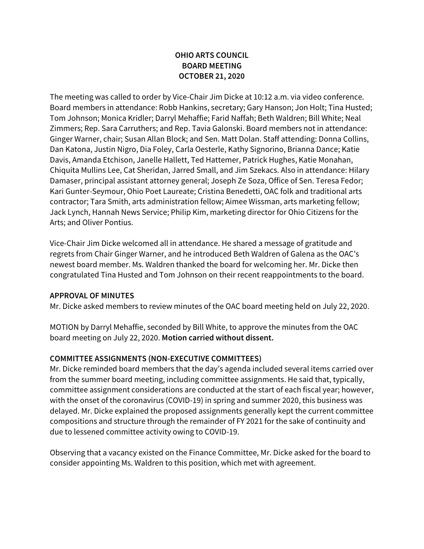# **OHIO ARTS COUNCIL BOARD MEETING OCTOBER 21, 2020**

The meeting was called to order by Vice-Chair Jim Dicke at 10:12 a.m. via video conference. Board members in attendance: Robb Hankins, secretary; Gary Hanson; Jon Holt; Tina Husted; Tom Johnson; Monica Kridler; Darryl Mehaffie; Farid Naffah; Beth Waldren; Bill White; Neal Zimmers; Rep. Sara Carruthers; and Rep. Tavia Galonski. Board members not in attendance: Ginger Warner, chair; Susan Allan Block; and Sen. Matt Dolan. Staff attending: Donna Collins, Dan Katona, Justin Nigro, Dia Foley, Carla Oesterle, Kathy Signorino, Brianna Dance; Katie Davis, Amanda Etchison, Janelle Hallett, Ted Hattemer, Patrick Hughes, Katie Monahan, Chiquita Mullins Lee, Cat Sheridan, Jarred Small, and Jim Szekacs. Also in attendance: Hilary Damaser, principal assistant attorney general; Joseph Ze Soza, Office of Sen. Teresa Fedor; Kari Gunter-Seymour, Ohio Poet Laureate; Cristina Benedetti, OAC folk and traditional arts contractor; Tara Smith, arts administration fellow; Aimee Wissman, arts marketing fellow; Jack Lynch, Hannah News Service; Philip Kim, marketing director for Ohio Citizens for the Arts; and Oliver Pontius.

Vice-Chair Jim Dicke welcomed all in attendance. He shared a message of gratitude and regrets from Chair Ginger Warner, and he introduced Beth Waldren of Galena as the OAC's newest board member. Ms. Waldren thanked the board for welcoming her. Mr. Dicke then congratulated Tina Husted and Tom Johnson on their recent reappointments to the board.

### **APPROVAL OF MINUTES**

Mr. Dicke asked members to review minutes of the OAC board meeting held on July 22, 2020.

MOTION by Darryl Mehaffie, seconded by Bill White, to approve the minutes from the OAC board meeting on July 22, 2020. **Motion carried without dissent.**

# **COMMITTEE ASSIGNMENTS (NON-EXECUTIVE COMMITTEES)**

Mr. Dicke reminded board members that the day's agenda included several items carried over from the summer board meeting, including committee assignments. He said that, typically, committee assignment considerations are conducted at the start of each fiscal year; however, with the onset of the coronavirus (COVID-19) in spring and summer 2020, this business was delayed. Mr. Dicke explained the proposed assignments generally kept the current committee compositions and structure through the remainder of FY 2021 for the sake of continuity and due to lessened committee activity owing to COVID-19.

Observing that a vacancy existed on the Finance Committee, Mr. Dicke asked for the board to consider appointing Ms. Waldren to this position, which met with agreement.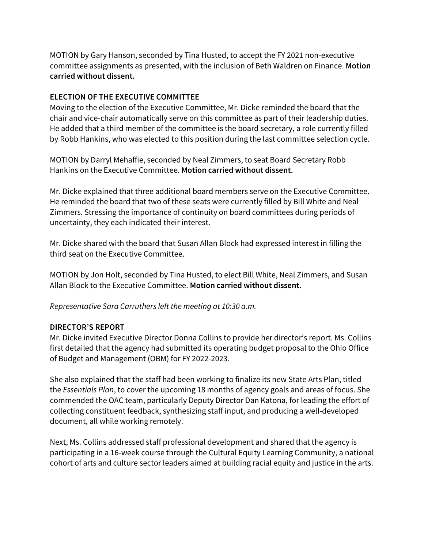MOTION by Gary Hanson, seconded by Tina Husted, to accept the FY 2021 non-executive committee assignments as presented, with the inclusion of Beth Waldren on Finance. **Motion carried without dissent.**

### **ELECTION OF THE EXECUTIVE COMMITTEE**

Moving to the election of the Executive Committee, Mr. Dicke reminded the board that the chair and vice-chair automatically serve on this committee as part of their leadership duties. He added that a third member of the committee is the board secretary, a role currently filled by Robb Hankins, who was elected to this position during the last committee selection cycle.

MOTION by Darryl Mehaffie, seconded by Neal Zimmers, to seat Board Secretary Robb Hankins on the Executive Committee. **Motion carried without dissent.**

Mr. Dicke explained that three additional board members serve on the Executive Committee. He reminded the board that two of these seats were currently filled by Bill White and Neal Zimmers. Stressing the importance of continuity on board committees during periods of uncertainty, they each indicated their interest.

Mr. Dicke shared with the board that Susan Allan Block had expressed interest in filling the third seat on the Executive Committee.

MOTION by Jon Holt, seconded by Tina Husted, to elect Bill White, Neal Zimmers, and Susan Allan Block to the Executive Committee. **Motion carried without dissent.**

*Representative Sara Carruthers left the meeting at 10:30 a.m.*

### **DIRECTOR'S REPORT**

Mr. Dicke invited Executive Director Donna Collins to provide her director's report. Ms. Collins first detailed that the agency had submitted its operating budget proposal to the Ohio Office of Budget and Management (OBM) for FY 2022-2023.

She also explained that the staff had been working to finalize its new State Arts Plan, titled the *Essentials Plan*, to cover the upcoming 18 months of agency goals and areas of focus. She commended the OAC team, particularly Deputy Director Dan Katona, for leading the effort of collecting constituent feedback, synthesizing staff input, and producing a well-developed document, all while working remotely.

Next, Ms. Collins addressed staff professional development and shared that the agency is participating in a 16-week course through the Cultural Equity Learning Community, a national cohort of arts and culture sector leaders aimed at building racial equity and justice in the arts.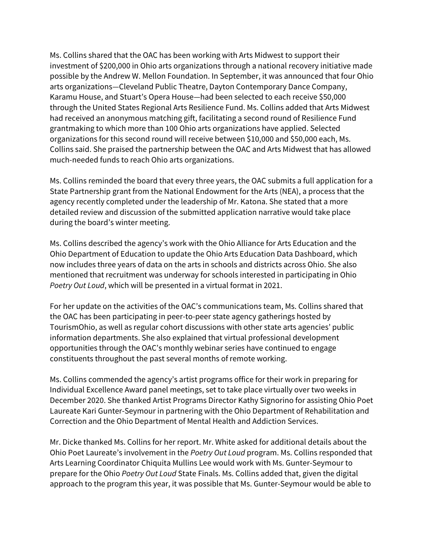Ms. Collins shared that the OAC has been working with Arts Midwest to support their investment of \$200,000 in Ohio arts organizations through a national recovery initiative made possible by the Andrew W. Mellon Foundation. In September, it was announced that four Ohio arts organizations—Cleveland Public Theatre, Dayton Contemporary Dance Company, Karamu House, and Stuart's Opera House—had been selected to each receive \$50,000 through the United States Regional Arts Resilience Fund. Ms. Collins added that Arts Midwest had received an anonymous matching gift, facilitating a second round of Resilience Fund grantmaking to which more than 100 Ohio arts organizations have applied. Selected organizations for this second round will receive between \$10,000 and \$50,000 each, Ms. Collins said. She praised the partnership between the OAC and Arts Midwest that has allowed much-needed funds to reach Ohio arts organizations.

Ms. Collins reminded the board that every three years, the OAC submits a full application for a State Partnership grant from the National Endowment for the Arts (NEA), a process that the agency recently completed under the leadership of Mr. Katona. She stated that a more detailed review and discussion of the submitted application narrative would take place during the board's winter meeting.

Ms. Collins described the agency's work with the Ohio Alliance for Arts Education and the Ohio Department of Education to update the Ohio Arts Education Data Dashboard, which now includes three years of data on the arts in schools and districts across Ohio. She also mentioned that recruitment was underway for schools interested in participating in Ohio *Poetry Out Loud*, which will be presented in a virtual format in 2021.

For her update on the activities of the OAC's communications team, Ms. Collins shared that the OAC has been participating in peer-to-peer state agency gatherings hosted by TourismOhio, as well as regular cohort discussions with other state arts agencies' public information departments. She also explained that virtual professional development opportunities through the OAC's monthly webinar series have continued to engage constituents throughout the past several months of remote working.

Ms. Collins commended the agency's artist programs office for their work in preparing for Individual Excellence Award panel meetings, set to take place virtually over two weeks in December 2020. She thanked Artist Programs Director Kathy Signorino for assisting Ohio Poet Laureate Kari Gunter-Seymour in partnering with the Ohio Department of Rehabilitation and Correction and the Ohio Department of Mental Health and Addiction Services.

Mr. Dicke thanked Ms. Collins for her report. Mr. White asked for additional details about the Ohio Poet Laureate's involvement in the *Poetry Out Loud* program. Ms. Collins responded that Arts Learning Coordinator Chiquita Mullins Lee would work with Ms. Gunter-Seymour to prepare for the Ohio *Poetry Out Loud* State Finals. Ms. Collins added that, given the digital approach to the program this year, it was possible that Ms. Gunter-Seymour would be able to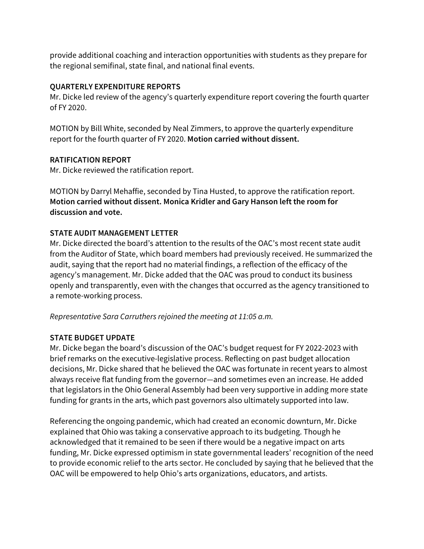provide additional coaching and interaction opportunities with students as they prepare for the regional semifinal, state final, and national final events.

### **QUARTERLY EXPENDITURE REPORTS**

Mr. Dicke led review of the agency's quarterly expenditure report covering the fourth quarter of FY 2020.

MOTION by Bill White, seconded by Neal Zimmers, to approve the quarterly expenditure report for the fourth quarter of FY 2020. **Motion carried without dissent.**

### **RATIFICATION REPORT**

Mr. Dicke reviewed the ratification report.

MOTION by Darryl Mehaffie, seconded by Tina Husted, to approve the ratification report. **Motion carried without dissent. Monica Kridler and Gary Hanson left the room for discussion and vote.**

### **STATE AUDIT MANAGEMENT LETTER**

Mr. Dicke directed the board's attention to the results of the OAC's most recent state audit from the Auditor of State, which board members had previously received. He summarized the audit, saying that the report had no material findings, a reflection of the efficacy of the agency's management. Mr. Dicke added that the OAC was proud to conduct its business openly and transparently, even with the changes that occurred as the agency transitioned to a remote-working process.

*Representative Sara Carruthers rejoined the meeting at 11:05 a.m.*

### **STATE BUDGET UPDATE**

Mr. Dicke began the board's discussion of the OAC's budget request for FY 2022-2023 with brief remarks on the executive-legislative process. Reflecting on past budget allocation decisions, Mr. Dicke shared that he believed the OAC was fortunate in recent years to almost always receive flat funding from the governor—and sometimes even an increase. He added that legislators in the Ohio General Assembly had been very supportive in adding more state funding for grants in the arts, which past governors also ultimately supported into law.

Referencing the ongoing pandemic, which had created an economic downturn, Mr. Dicke explained that Ohio was taking a conservative approach to its budgeting. Though he acknowledged that it remained to be seen if there would be a negative impact on arts funding, Mr. Dicke expressed optimism in state governmental leaders' recognition of the need to provide economic relief to the arts sector. He concluded by saying that he believed that the OAC will be empowered to help Ohio's arts organizations, educators, and artists.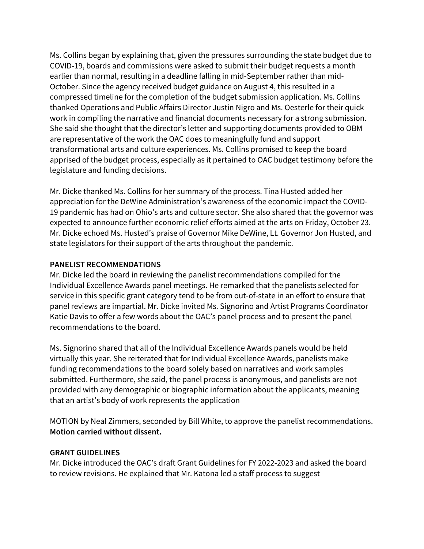Ms. Collins began by explaining that, given the pressures surrounding the state budget due to COVID-19, boards and commissions were asked to submit their budget requests a month earlier than normal, resulting in a deadline falling in mid-September rather than mid-October. Since the agency received budget guidance on August 4, this resulted in a compressed timeline for the completion of the budget submission application. Ms. Collins thanked Operations and Public Affairs Director Justin Nigro and Ms. Oesterle for their quick work in compiling the narrative and financial documents necessary for a strong submission. She said she thought that the director's letter and supporting documents provided to OBM are representative of the work the OAC does to meaningfully fund and support transformational arts and culture experiences. Ms. Collins promised to keep the board apprised of the budget process, especially as it pertained to OAC budget testimony before the legislature and funding decisions.

Mr. Dicke thanked Ms. Collins for her summary of the process. Tina Husted added her appreciation for the DeWine Administration's awareness of the economic impact the COVID-19 pandemic has had on Ohio's arts and culture sector. She also shared that the governor was expected to announce further economic relief efforts aimed at the arts on Friday, October 23. Mr. Dicke echoed Ms. Husted's praise of Governor Mike DeWine, Lt. Governor Jon Husted, and state legislators for their support of the arts throughout the pandemic.

### **PANELIST RECOMMENDATIONS**

Mr. Dicke led the board in reviewing the panelist recommendations compiled for the Individual Excellence Awards panel meetings. He remarked that the panelists selected for service in this specific grant category tend to be from out-of-state in an effort to ensure that panel reviews are impartial. Mr. Dicke invited Ms. Signorino and Artist Programs Coordinator Katie Davis to offer a few words about the OAC's panel process and to present the panel recommendations to the board.

Ms. Signorino shared that all of the Individual Excellence Awards panels would be held virtually this year. She reiterated that for Individual Excellence Awards, panelists make funding recommendations to the board solely based on narratives and work samples submitted. Furthermore, she said, the panel process is anonymous, and panelists are not provided with any demographic or biographic information about the applicants, meaning that an artist's body of work represents the application

MOTION by Neal Zimmers, seconded by Bill White, to approve the panelist recommendations. **Motion carried without dissent.** 

# **GRANT GUIDELINES**

Mr. Dicke introduced the OAC's draft Grant Guidelines for FY 2022-2023 and asked the board to review revisions. He explained that Mr. Katona led a staff process to suggest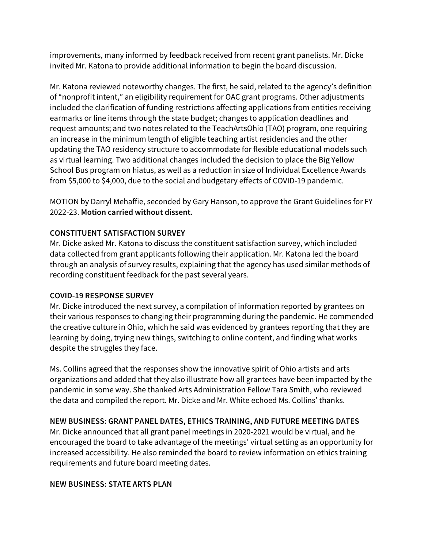improvements, many informed by feedback received from recent grant panelists. Mr. Dicke invited Mr. Katona to provide additional information to begin the board discussion.

Mr. Katona reviewed noteworthy changes. The first, he said, related to the agency's definition of "nonprofit intent," an eligibility requirement for OAC grant programs. Other adjustments included the clarification of funding restrictions affecting applications from entities receiving earmarks or line items through the state budget; changes to application deadlines and request amounts; and two notes related to the TeachArtsOhio (TAO) program, one requiring an increase in the minimum length of eligible teaching artist residencies and the other updating the TAO residency structure to accommodate for flexible educational models such as virtual learning. Two additional changes included the decision to place the Big Yellow School Bus program on hiatus, as well as a reduction in size of Individual Excellence Awards from \$5,000 to \$4,000, due to the social and budgetary effects of COVID-19 pandemic.

MOTION by Darryl Mehaffie, seconded by Gary Hanson, to approve the Grant Guidelines for FY 2022-23. **Motion carried without dissent.** 

### **CONSTITUENT SATISFACTION SURVEY**

Mr. Dicke asked Mr. Katona to discuss the constituent satisfaction survey, which included data collected from grant applicants following their application. Mr. Katona led the board through an analysis of survey results, explaining that the agency has used similar methods of recording constituent feedback for the past several years.

### **COVID-19 RESPONSE SURVEY**

Mr. Dicke introduced the next survey, a compilation of information reported by grantees on their various responses to changing their programming during the pandemic. He commended the creative culture in Ohio, which he said was evidenced by grantees reporting that they are learning by doing, trying new things, switching to online content, and finding what works despite the struggles they face.

Ms. Collins agreed that the responses show the innovative spirit of Ohio artists and arts organizations and added that they also illustrate how all grantees have been impacted by the pandemic in some way. She thanked Arts Administration Fellow Tara Smith, who reviewed the data and compiled the report. Mr. Dicke and Mr. White echoed Ms. Collins' thanks.

# **NEW BUSINESS: GRANT PANEL DATES, ETHICS TRAINING, AND FUTURE MEETING DATES**

Mr. Dicke announced that all grant panel meetings in 2020-2021 would be virtual, and he encouraged the board to take advantage of the meetings' virtual setting as an opportunity for increased accessibility. He also reminded the board to review information on ethics training requirements and future board meeting dates.

### **NEW BUSINESS: STATE ARTS PLAN**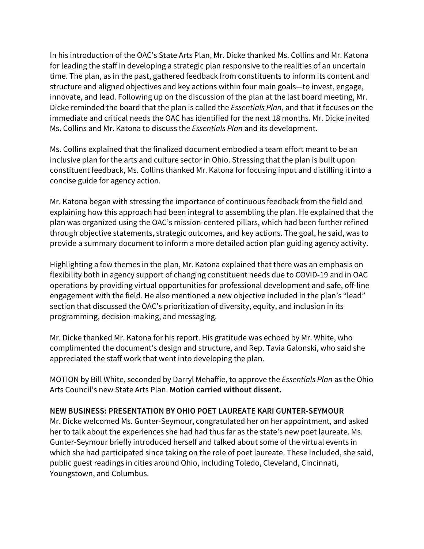In his introduction of the OAC's State Arts Plan, Mr. Dicke thanked Ms. Collins and Mr. Katona for leading the staff in developing a strategic plan responsive to the realities of an uncertain time. The plan, as in the past, gathered feedback from constituents to inform its content and structure and aligned objectives and key actions within four main goals—to invest, engage, innovate, and lead. Following up on the discussion of the plan at the last board meeting, Mr. Dicke reminded the board that the plan is called the *Essentials Plan*, and that it focuses on the immediate and critical needs the OAC has identified for the next 18 months. Mr. Dicke invited Ms. Collins and Mr. Katona to discuss the *Essentials Plan* and its development.

Ms. Collins explained that the finalized document embodied a team effort meant to be an inclusive plan for the arts and culture sector in Ohio. Stressing that the plan is built upon constituent feedback, Ms. Collins thanked Mr. Katona for focusing input and distilling it into a concise guide for agency action.

Mr. Katona began with stressing the importance of continuous feedback from the field and explaining how this approach had been integral to assembling the plan. He explained that the plan was organized using the OAC's mission-centered pillars, which had been further refined through objective statements, strategic outcomes, and key actions. The goal, he said, was to provide a summary document to inform a more detailed action plan guiding agency activity.

Highlighting a few themes in the plan, Mr. Katona explained that there was an emphasis on flexibility both in agency support of changing constituent needs due to COVID-19 and in OAC operations by providing virtual opportunities for professional development and safe, off-line engagement with the field. He also mentioned a new objective included in the plan's "lead" section that discussed the OAC's prioritization of diversity, equity, and inclusion in its programming, decision-making, and messaging.

Mr. Dicke thanked Mr. Katona for his report. His gratitude was echoed by Mr. White, who complimented the document's design and structure, and Rep. Tavia Galonski, who said she appreciated the staff work that went into developing the plan.

MOTION by Bill White, seconded by Darryl Mehaffie, to approve the *Essentials Plan* as the Ohio Arts Council's new State Arts Plan. **Motion carried without dissent.** 

### **NEW BUSINESS: PRESENTATION BY OHIO POET LAUREATE KARI GUNTER-SEYMOUR**

Mr. Dicke welcomed Ms. Gunter-Seymour, congratulated her on her appointment, and asked her to talk about the experiences she had had thus far as the state's new poet laureate. Ms. Gunter-Seymour briefly introduced herself and talked about some of the virtual events in which she had participated since taking on the role of poet laureate. These included, she said, public guest readings in cities around Ohio, including Toledo, Cleveland, Cincinnati, Youngstown, and Columbus.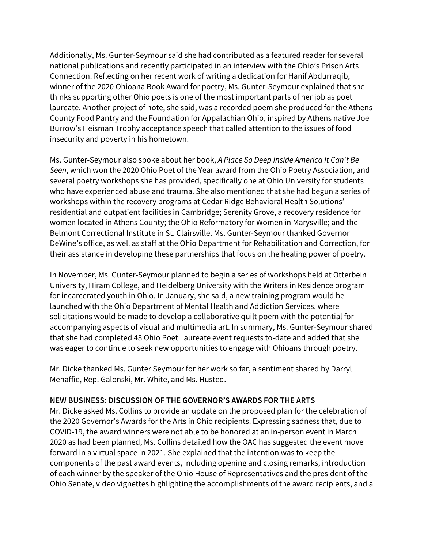Additionally, Ms. Gunter-Seymour said she had contributed as a featured reader for several national publications and recently participated in an interview with the Ohio's Prison Arts Connection. Reflecting on her recent work of writing a dedication for Hanif Abdurraqib, winner of the 2020 Ohioana Book Award for poetry, Ms. Gunter-Seymour explained that she thinks supporting other Ohio poets is one of the most important parts of her job as poet laureate. Another project of note, she said, was a recorded poem she produced for the Athens County Food Pantry and the Foundation for Appalachian Ohio, inspired by Athens native Joe Burrow's Heisman Trophy acceptance speech that called attention to the issues of food insecurity and poverty in his hometown.

Ms. Gunter-Seymour also spoke about her book, *A Place So Deep Inside America It Can't Be Seen*, which won the 2020 Ohio Poet of the Year award from the Ohio Poetry Association, and several poetry workshops she has provided, specifically one at Ohio University for students who have experienced abuse and trauma. She also mentioned that she had begun a series of workshops within the recovery programs at Cedar Ridge Behavioral Health Solutions' residential and outpatient facilities in Cambridge; Serenity Grove, a recovery residence for women located in Athens County; the Ohio Reformatory for Women in Marysville; and the Belmont Correctional Institute in St. Clairsville. Ms. Gunter-Seymour thanked Governor DeWine's office, as well as staff at the Ohio Department for Rehabilitation and Correction, for their assistance in developing these partnerships that focus on the healing power of poetry.

In November, Ms. Gunter-Seymour planned to begin a series of workshops held at Otterbein University, Hiram College, and Heidelberg University with the Writers in Residence program for incarcerated youth in Ohio. In January, she said, a new training program would be launched with the Ohio Department of Mental Health and Addiction Services, where solicitations would be made to develop a collaborative quilt poem with the potential for accompanying aspects of visual and multimedia art. In summary, Ms. Gunter-Seymour shared that she had completed 43 Ohio Poet Laureate event requests to-date and added that she was eager to continue to seek new opportunities to engage with Ohioans through poetry.

Mr. Dicke thanked Ms. Gunter Seymour for her work so far, a sentiment shared by Darryl Mehaffie, Rep. Galonski, Mr. White, and Ms. Husted.

### **NEW BUSINESS: DISCUSSION OF THE GOVERNOR'S AWARDS FOR THE ARTS**

Mr. Dicke asked Ms. Collins to provide an update on the proposed plan for the celebration of the 2020 Governor's Awards for the Arts in Ohio recipients. Expressing sadness that, due to COVID-19, the award winners were not able to be honored at an in-person event in March 2020 as had been planned, Ms. Collins detailed how the OAC has suggested the event move forward in a virtual space in 2021. She explained that the intention was to keep the components of the past award events, including opening and closing remarks, introduction of each winner by the speaker of the Ohio House of Representatives and the president of the Ohio Senate, video vignettes highlighting the accomplishments of the award recipients, and a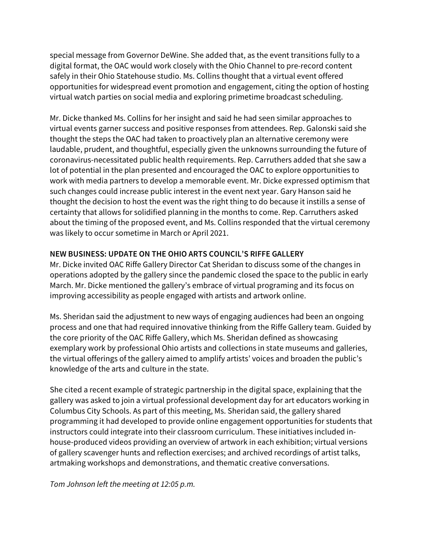special message from Governor DeWine. She added that, as the event transitions fully to a digital format, the OAC would work closely with the Ohio Channel to pre-record content safely in their Ohio Statehouse studio. Ms. Collins thought that a virtual event offered opportunities for widespread event promotion and engagement, citing the option of hosting virtual watch parties on social media and exploring primetime broadcast scheduling.

Mr. Dicke thanked Ms. Collins for her insight and said he had seen similar approaches to virtual events garner success and positive responses from attendees. Rep. Galonski said she thought the steps the OAC had taken to proactively plan an alternative ceremony were laudable, prudent, and thoughtful, especially given the unknowns surrounding the future of coronavirus-necessitated public health requirements. Rep. Carruthers added that she saw a lot of potential in the plan presented and encouraged the OAC to explore opportunities to work with media partners to develop a memorable event. Mr. Dicke expressed optimism that such changes could increase public interest in the event next year. Gary Hanson said he thought the decision to host the event was the right thing to do because it instills a sense of certainty that allows for solidified planning in the months to come. Rep. Carruthers asked about the timing of the proposed event, and Ms. Collins responded that the virtual ceremony was likely to occur sometime in March or April 2021.

# **NEW BUSINESS: UPDATE ON THE OHIO ARTS COUNCIL'S RIFFE GALLERY**

Mr. Dicke invited OAC Riffe Gallery Director Cat Sheridan to discuss some of the changes in operations adopted by the gallery since the pandemic closed the space to the public in early March. Mr. Dicke mentioned the gallery's embrace of virtual programing and its focus on improving accessibility as people engaged with artists and artwork online.

Ms. Sheridan said the adjustment to new ways of engaging audiences had been an ongoing process and one that had required innovative thinking from the Riffe Gallery team. Guided by the core priority of the OAC Riffe Gallery, which Ms. Sheridan defined as showcasing exemplary work by professional Ohio artists and collections in state museums and galleries, the virtual offerings of the gallery aimed to amplify artists' voices and broaden the public's knowledge of the arts and culture in the state.

She cited a recent example of strategic partnership in the digital space, explaining that the gallery was asked to join a virtual professional development day for art educators working in Columbus City Schools. As part of this meeting, Ms. Sheridan said, the gallery shared programming it had developed to provide online engagement opportunities for students that instructors could integrate into their classroom curriculum. These initiatives included inhouse-produced videos providing an overview of artwork in each exhibition; virtual versions of gallery scavenger hunts and reflection exercises; and archived recordings of artist talks, artmaking workshops and demonstrations, and thematic creative conversations.

*Tom Johnson left the meeting at 12:05 p.m.*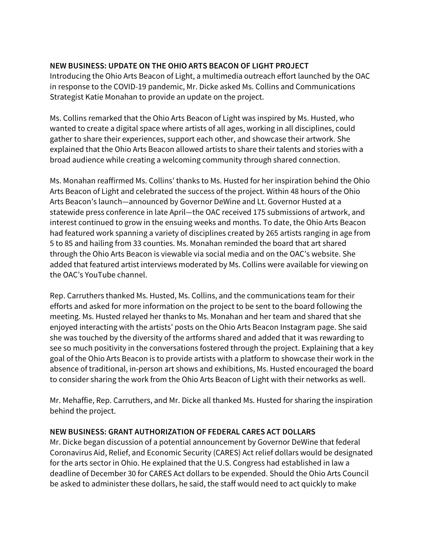## **NEW BUSINESS: UPDATE ON THE OHIO ARTS BEACON OF LIGHT PROJECT**

Introducing the Ohio Arts Beacon of Light, a multimedia outreach effort launched by the OAC in response to the COVID-19 pandemic, Mr. Dicke asked Ms. Collins and Communications Strategist Katie Monahan to provide an update on the project.

Ms. Collins remarked that the Ohio Arts Beacon of Light was inspired by Ms. Husted, who wanted to create a digital space where artists of all ages, working in all disciplines, could gather to share their experiences, support each other, and showcase their artwork. She explained that the Ohio Arts Beacon allowed artists to share their talents and stories with a broad audience while creating a welcoming community through shared connection.

Ms. Monahan reaffirmed Ms. Collins' thanks to Ms. Husted for her inspiration behind the Ohio Arts Beacon of Light and celebrated the success of the project. Within 48 hours of the Ohio Arts Beacon's launch—announced by Governor DeWine and Lt. Governor Husted at a statewide press conference in late April—the OAC received 175 submissions of artwork, and interest continued to grow in the ensuing weeks and months. To date, the Ohio Arts Beacon had featured work spanning a variety of disciplines created by 265 artists ranging in age from 5 to 85 and hailing from 33 counties. Ms. Monahan reminded the board that art shared through the Ohio Arts Beacon is viewable via social media and on the OAC's website. She added that featured artist interviews moderated by Ms. Collins were available for viewing on the OAC's YouTube channel.

Rep. Carruthers thanked Ms. Husted, Ms. Collins, and the communications team for their efforts and asked for more information on the project to be sent to the board following the meeting. Ms. Husted relayed her thanks to Ms. Monahan and her team and shared that she enjoyed interacting with the artists' posts on the Ohio Arts Beacon Instagram page. She said she was touched by the diversity of the artforms shared and added that it was rewarding to see so much positivity in the conversations fostered through the project. Explaining that a key goal of the Ohio Arts Beacon is to provide artists with a platform to showcase their work in the absence of traditional, in-person art shows and exhibitions, Ms. Husted encouraged the board to consider sharing the work from the Ohio Arts Beacon of Light with their networks as well.

Mr. Mehaffie, Rep. Carruthers, and Mr. Dicke all thanked Ms. Husted for sharing the inspiration behind the project.

### **NEW BUSINESS: GRANT AUTHORIZATION OF FEDERAL CARES ACT DOLLARS**

Mr. Dicke began discussion of a potential announcement by Governor DeWine that federal Coronavirus Aid, Relief, and Economic Security (CARES) Act relief dollars would be designated for the arts sector in Ohio. He explained that the U.S. Congress had established in law a deadline of December 30 for CARES Act dollars to be expended. Should the Ohio Arts Council be asked to administer these dollars, he said, the staff would need to act quickly to make